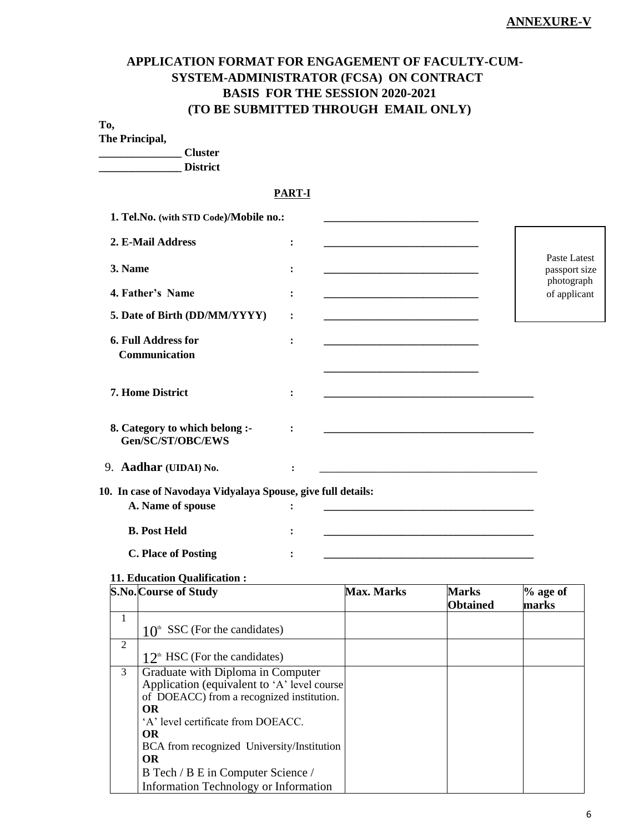# **APPLICATION FORMAT FOR ENGAGEMENT OF FACULTY-CUM-SYSTEM-ADMINISTRATOR (FCSA) ON CONTRACT BASIS FOR THE SESSION 2020-2021 (TO BE SUBMITTED THROUGH EMAIL ONLY)**

## **To,**

**The Principal,**

**\_\_\_\_\_\_\_\_\_\_\_\_\_\_\_ Cluster \_\_\_\_\_\_\_\_\_\_\_\_\_\_\_ District**

### **PART-I**

| 1. Tel.No. (with STD Code)/Mobile no.:                       |                |                                                                                                                      |                               |
|--------------------------------------------------------------|----------------|----------------------------------------------------------------------------------------------------------------------|-------------------------------|
| 2. E-Mail Address                                            | :              |                                                                                                                      |                               |
| 3. Name                                                      | $\ddot{\cdot}$ | <u> 1989 - Johann John Stone, meil er fan de ferstjer fan de ferstjer fan de ferstjer fan de ferstjer fan de fer</u> | Paste Latest<br>passport size |
| 4. Father's Name                                             | :              | <u> 1980 - Johann Barn, mars an t-Amerikaansk politiker (</u>                                                        | photograph<br>of applicant    |
| 5. Date of Birth (DD/MM/YYYY)                                | :              |                                                                                                                      |                               |
| <b>6. Full Address for</b><br>Communication                  | :              | <u> 1980 - Johann Barn, mars eta biztanleria (h. 1908).</u>                                                          |                               |
| <b>7. Home District</b>                                      | $\ddot{\cdot}$ |                                                                                                                      |                               |
| 8. Category to which belong :-<br>Gen/SC/ST/OBC/EWS          | $\ddot{\cdot}$ |                                                                                                                      |                               |
| 9. Aadhar (UIDAI) No.                                        | $\ddot{\cdot}$ | <u> 1980 - Jan James James Barnett, fransk politik (d. 1980)</u>                                                     |                               |
| 10. In case of Navodaya Vidyalaya Spouse, give full details: |                |                                                                                                                      |                               |
| A. Name of spouse                                            | $\ddot{\cdot}$ |                                                                                                                      |                               |
| <b>B. Post Held</b>                                          | :              | <u> 1989 - Johann Barbara, margaret eta biztanleria (h. 1989).</u>                                                   |                               |
| <b>C. Place of Posting</b>                                   |                |                                                                                                                      |                               |

### **11. Education Qualification :**

|   | S.No. Course of Study                                                                                                                                                                                                                                    | <b>Max. Marks</b> | Marks<br><b>Obtained</b> | $%$ age of<br>marks |
|---|----------------------------------------------------------------------------------------------------------------------------------------------------------------------------------------------------------------------------------------------------------|-------------------|--------------------------|---------------------|
| 1 |                                                                                                                                                                                                                                                          |                   |                          |                     |
|   | SSC (For the candidates)<br>10 <sup>th</sup>                                                                                                                                                                                                             |                   |                          |                     |
| 2 |                                                                                                                                                                                                                                                          |                   |                          |                     |
|   | $12^{\text{th}}$ HSC (For the candidates)                                                                                                                                                                                                                |                   |                          |                     |
| 3 | Graduate with Diploma in Computer<br>Application (equivalent to 'A' level course<br>of DOEACC) from a recognized institution.<br><b>OR</b><br>'A' level certificate from DOEACC.<br><b>OR</b><br>BCA from recognized University/Institution<br><b>OR</b> |                   |                          |                     |
|   | B Tech / B E in Computer Science /                                                                                                                                                                                                                       |                   |                          |                     |
|   | Information Technology or Information                                                                                                                                                                                                                    |                   |                          |                     |